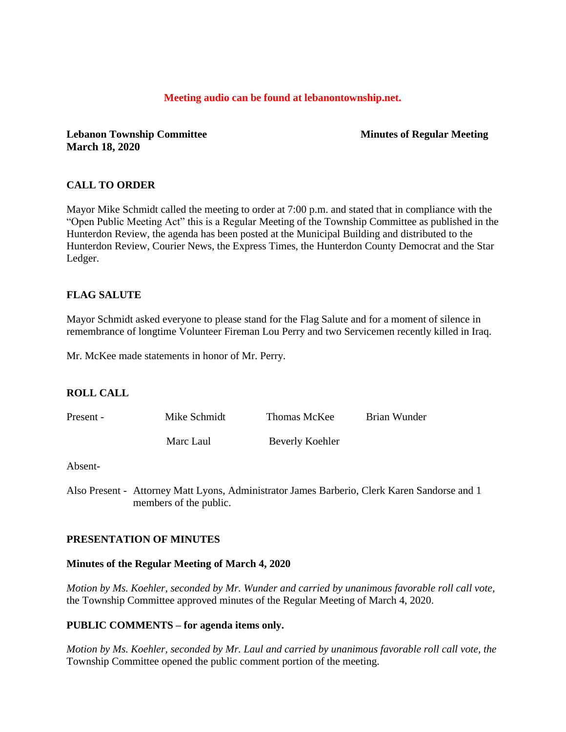### **Meeting audio can be found at lebanontownship.net.**

**Lebanon Township Committee Minutes of Regular Meeting March 18, 2020**

## **CALL TO ORDER**

Mayor Mike Schmidt called the meeting to order at 7:00 p.m. and stated that in compliance with the "Open Public Meeting Act" this is a Regular Meeting of the Township Committee as published in the Hunterdon Review, the agenda has been posted at the Municipal Building and distributed to the Hunterdon Review, Courier News, the Express Times, the Hunterdon County Democrat and the Star Ledger.

## **FLAG SALUTE**

Mayor Schmidt asked everyone to please stand for the Flag Salute and for a moment of silence in remembrance of longtime Volunteer Fireman Lou Perry and two Servicemen recently killed in Iraq.

Mr. McKee made statements in honor of Mr. Perry.

#### **ROLL CALL**

| Present - | Mike Schmidt | Thomas McKee    | Brian Wunder |
|-----------|--------------|-----------------|--------------|
|           | Marc Laul    | Beverly Koehler |              |

Absent-

Also Present - Attorney Matt Lyons, Administrator James Barberio, Clerk Karen Sandorse and 1 members of the public.

#### **PRESENTATION OF MINUTES**

#### **Minutes of the Regular Meeting of March 4, 2020**

*Motion by Ms. Koehler, seconded by Mr. Wunder and carried by unanimous favorable roll call vote,* the Township Committee approved minutes of the Regular Meeting of March 4, 2020.

#### **PUBLIC COMMENTS – for agenda items only.**

*Motion by Ms. Koehler, seconded by Mr. Laul and carried by unanimous favorable roll call vote, the* Township Committee opened the public comment portion of the meeting.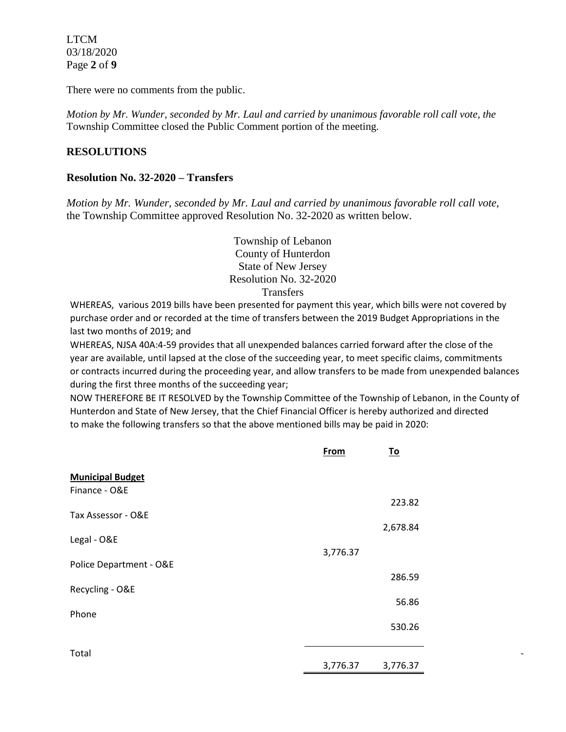LTCM 03/18/2020 Page **2** of **9**

There were no comments from the public.

*Motion by Mr. Wunder, seconded by Mr. Laul and carried by unanimous favorable roll call vote, the* Township Committee closed the Public Comment portion of the meeting.

# **RESOLUTIONS**

### **Resolution No. 32-2020 – Transfers**

*Motion by Mr. Wunder, seconded by Mr. Laul and carried by unanimous favorable roll call vote,* the Township Committee approved Resolution No. 32-2020 as written below.

> Township of Lebanon County of Hunterdon State of New Jersey Resolution No. 32-2020 **Transfers**

WHEREAS, various 2019 bills have been presented for payment this year, which bills were not covered by purchase order and or recorded at the time of transfers between the 2019 Budget Appropriations in the last two months of 2019; and

WHEREAS, NJSA 40A:4-59 provides that all unexpended balances carried forward after the close of the year are available, until lapsed at the close of the succeeding year, to meet specific claims, commitments or contracts incurred during the proceeding year, and allow transfers to be made from unexpended balances during the first three months of the succeeding year;

NOW THEREFORE BE IT RESOLVED by the Township Committee of the Township of Lebanon, in the County of Hunterdon and State of New Jersey, that the Chief Financial Officer is hereby authorized and directed to make the following transfers so that the above mentioned bills may be paid in 2020:

- 100 minutes

| From     | <u>To</u> |
|----------|-----------|
|          |           |
|          | 223.82    |
|          |           |
|          | 2,678.84  |
| 3,776.37 |           |
|          | 286.59    |
|          | 56.86     |
|          | 530.26    |
|          |           |
| 3,776.37 | 3,776.37  |
|          |           |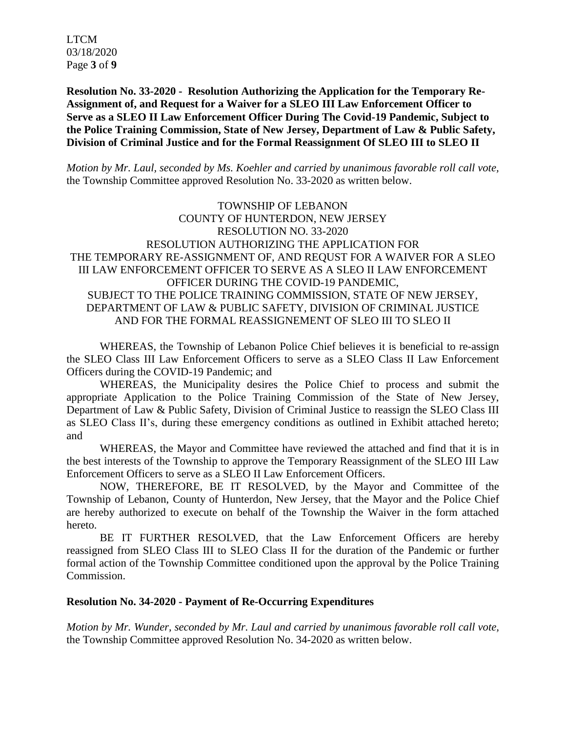LTCM 03/18/2020 Page **3** of **9**

**Resolution No. 33-2020 - Resolution Authorizing the Application for the Temporary Re-Assignment of, and Request for a Waiver for a SLEO III Law Enforcement Officer to Serve as a SLEO II Law Enforcement Officer During The Covid-19 Pandemic, Subject to the Police Training Commission, State of New Jersey, Department of Law & Public Safety, Division of Criminal Justice and for the Formal Reassignment Of SLEO III to SLEO II**

*Motion by Mr. Laul, seconded by Ms. Koehler and carried by unanimous favorable roll call vote,* the Township Committee approved Resolution No. 33-2020 as written below.

TOWNSHIP OF LEBANON COUNTY OF HUNTERDON, NEW JERSEY RESOLUTION NO. 33-2020 RESOLUTION AUTHORIZING THE APPLICATION FOR THE TEMPORARY RE-ASSIGNMENT OF, AND REQUST FOR A WAIVER FOR A SLEO III LAW ENFORCEMENT OFFICER TO SERVE AS A SLEO II LAW ENFORCEMENT OFFICER DURING THE COVID-19 PANDEMIC, SUBJECT TO THE POLICE TRAINING COMMISSION, STATE OF NEW JERSEY, DEPARTMENT OF LAW & PUBLIC SAFETY, DIVISION OF CRIMINAL JUSTICE AND FOR THE FORMAL REASSIGNEMENT OF SLEO III TO SLEO II

WHEREAS, the Township of Lebanon Police Chief believes it is beneficial to re-assign the SLEO Class III Law Enforcement Officers to serve as a SLEO Class II Law Enforcement Officers during the COVID-19 Pandemic; and

WHEREAS, the Municipality desires the Police Chief to process and submit the appropriate Application to the Police Training Commission of the State of New Jersey, Department of Law & Public Safety, Division of Criminal Justice to reassign the SLEO Class III as SLEO Class II's, during these emergency conditions as outlined in Exhibit attached hereto; and

WHEREAS, the Mayor and Committee have reviewed the attached and find that it is in the best interests of the Township to approve the Temporary Reassignment of the SLEO III Law Enforcement Officers to serve as a SLEO II Law Enforcement Officers.

NOW, THEREFORE, BE IT RESOLVED, by the Mayor and Committee of the Township of Lebanon, County of Hunterdon, New Jersey, that the Mayor and the Police Chief are hereby authorized to execute on behalf of the Township the Waiver in the form attached hereto.

BE IT FURTHER RESOLVED, that the Law Enforcement Officers are hereby reassigned from SLEO Class III to SLEO Class II for the duration of the Pandemic or further formal action of the Township Committee conditioned upon the approval by the Police Training Commission.

## **Resolution No. 34-2020 - Payment of Re-Occurring Expenditures**

*Motion by Mr. Wunder, seconded by Mr. Laul and carried by unanimous favorable roll call vote,* the Township Committee approved Resolution No. 34-2020 as written below.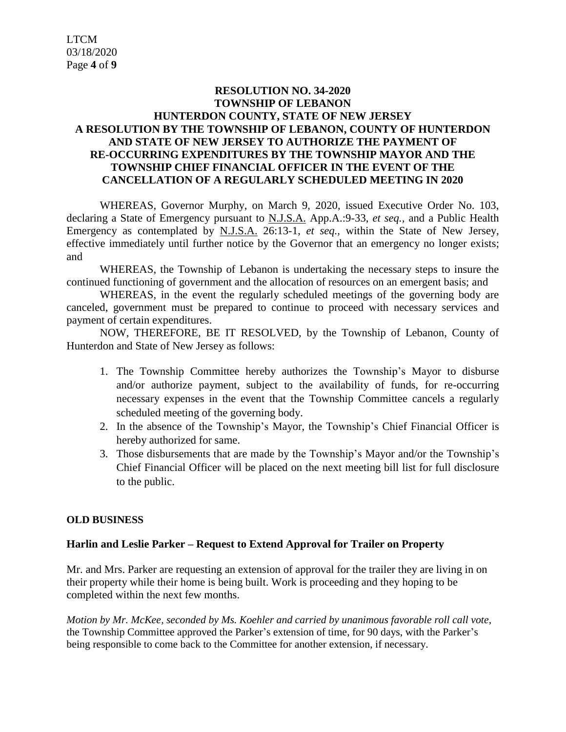# **RESOLUTION NO. 34-2020 TOWNSHIP OF LEBANON HUNTERDON COUNTY, STATE OF NEW JERSEY A RESOLUTION BY THE TOWNSHIP OF LEBANON, COUNTY OF HUNTERDON AND STATE OF NEW JERSEY TO AUTHORIZE THE PAYMENT OF RE-OCCURRING EXPENDITURES BY THE TOWNSHIP MAYOR AND THE TOWNSHIP CHIEF FINANCIAL OFFICER IN THE EVENT OF THE CANCELLATION OF A REGULARLY SCHEDULED MEETING IN 2020**

WHEREAS, Governor Murphy, on March 9, 2020, issued Executive Order No. 103, declaring a State of Emergency pursuant to N.J.S.A. App.A.:9-33, *et seq.,* and a Public Health Emergency as contemplated by N.J.S.A. 26:13-1, *et seq.,* within the State of New Jersey, effective immediately until further notice by the Governor that an emergency no longer exists; and

WHEREAS, the Township of Lebanon is undertaking the necessary steps to insure the continued functioning of government and the allocation of resources on an emergent basis; and

WHEREAS, in the event the regularly scheduled meetings of the governing body are canceled, government must be prepared to continue to proceed with necessary services and payment of certain expenditures.

NOW, THEREFORE, BE IT RESOLVED, by the Township of Lebanon, County of Hunterdon and State of New Jersey as follows:

- 1. The Township Committee hereby authorizes the Township's Mayor to disburse and/or authorize payment, subject to the availability of funds, for re-occurring necessary expenses in the event that the Township Committee cancels a regularly scheduled meeting of the governing body.
- 2. In the absence of the Township's Mayor, the Township's Chief Financial Officer is hereby authorized for same.
- 3. Those disbursements that are made by the Township's Mayor and/or the Township's Chief Financial Officer will be placed on the next meeting bill list for full disclosure to the public.

# **OLD BUSINESS**

# **Harlin and Leslie Parker – Request to Extend Approval for Trailer on Property**

Mr. and Mrs. Parker are requesting an extension of approval for the trailer they are living in on their property while their home is being built. Work is proceeding and they hoping to be completed within the next few months.

*Motion by Mr. McKee, seconded by Ms. Koehler and carried by unanimous favorable roll call vote,* the Township Committee approved the Parker's extension of time, for 90 days, with the Parker's being responsible to come back to the Committee for another extension, if necessary.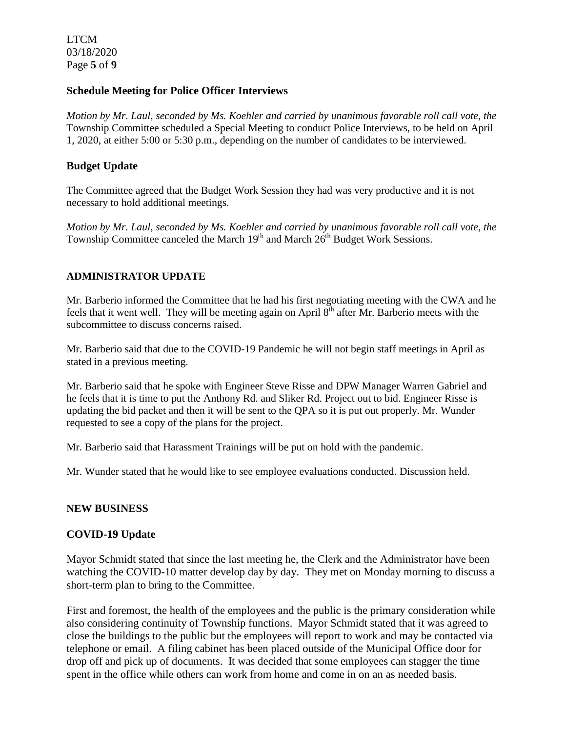LTCM 03/18/2020 Page **5** of **9**

### **Schedule Meeting for Police Officer Interviews**

*Motion by Mr. Laul, seconded by Ms. Koehler and carried by unanimous favorable roll call vote, the* Township Committee scheduled a Special Meeting to conduct Police Interviews, to be held on April 1, 2020, at either 5:00 or 5:30 p.m., depending on the number of candidates to be interviewed.

## **Budget Update**

The Committee agreed that the Budget Work Session they had was very productive and it is not necessary to hold additional meetings.

*Motion by Mr. Laul, seconded by Ms. Koehler and carried by unanimous favorable roll call vote, the* Township Committee canceled the March  $19<sup>th</sup>$  and March  $26<sup>th</sup>$  Budget Work Sessions.

## **ADMINISTRATOR UPDATE**

Mr. Barberio informed the Committee that he had his first negotiating meeting with the CWA and he feels that it went well. They will be meeting again on April 8<sup>th</sup> after Mr. Barberio meets with the subcommittee to discuss concerns raised.

Mr. Barberio said that due to the COVID-19 Pandemic he will not begin staff meetings in April as stated in a previous meeting.

Mr. Barberio said that he spoke with Engineer Steve Risse and DPW Manager Warren Gabriel and he feels that it is time to put the Anthony Rd. and Sliker Rd. Project out to bid. Engineer Risse is updating the bid packet and then it will be sent to the QPA so it is put out properly. Mr. Wunder requested to see a copy of the plans for the project.

Mr. Barberio said that Harassment Trainings will be put on hold with the pandemic.

Mr. Wunder stated that he would like to see employee evaluations conducted. Discussion held.

## **NEW BUSINESS**

## **COVID-19 Update**

Mayor Schmidt stated that since the last meeting he, the Clerk and the Administrator have been watching the COVID-10 matter develop day by day. They met on Monday morning to discuss a short-term plan to bring to the Committee.

First and foremost, the health of the employees and the public is the primary consideration while also considering continuity of Township functions. Mayor Schmidt stated that it was agreed to close the buildings to the public but the employees will report to work and may be contacted via telephone or email. A filing cabinet has been placed outside of the Municipal Office door for drop off and pick up of documents. It was decided that some employees can stagger the time spent in the office while others can work from home and come in on an as needed basis.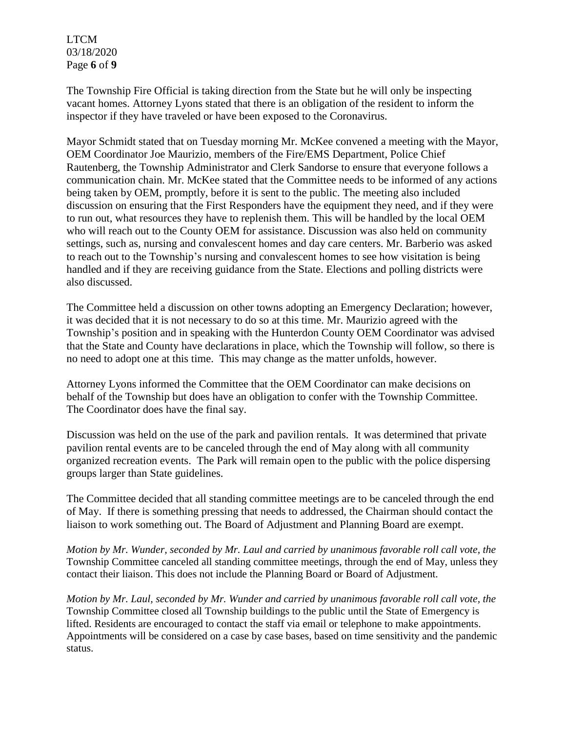LTCM 03/18/2020 Page **6** of **9**

The Township Fire Official is taking direction from the State but he will only be inspecting vacant homes. Attorney Lyons stated that there is an obligation of the resident to inform the inspector if they have traveled or have been exposed to the Coronavirus.

Mayor Schmidt stated that on Tuesday morning Mr. McKee convened a meeting with the Mayor, OEM Coordinator Joe Maurizio, members of the Fire/EMS Department, Police Chief Rautenberg, the Township Administrator and Clerk Sandorse to ensure that everyone follows a communication chain. Mr. McKee stated that the Committee needs to be informed of any actions being taken by OEM, promptly, before it is sent to the public. The meeting also included discussion on ensuring that the First Responders have the equipment they need, and if they were to run out, what resources they have to replenish them. This will be handled by the local OEM who will reach out to the County OEM for assistance. Discussion was also held on community settings, such as, nursing and convalescent homes and day care centers. Mr. Barberio was asked to reach out to the Township's nursing and convalescent homes to see how visitation is being handled and if they are receiving guidance from the State. Elections and polling districts were also discussed.

The Committee held a discussion on other towns adopting an Emergency Declaration; however, it was decided that it is not necessary to do so at this time. Mr. Maurizio agreed with the Township's position and in speaking with the Hunterdon County OEM Coordinator was advised that the State and County have declarations in place, which the Township will follow, so there is no need to adopt one at this time. This may change as the matter unfolds, however.

Attorney Lyons informed the Committee that the OEM Coordinator can make decisions on behalf of the Township but does have an obligation to confer with the Township Committee. The Coordinator does have the final say.

Discussion was held on the use of the park and pavilion rentals. It was determined that private pavilion rental events are to be canceled through the end of May along with all community organized recreation events. The Park will remain open to the public with the police dispersing groups larger than State guidelines.

The Committee decided that all standing committee meetings are to be canceled through the end of May. If there is something pressing that needs to addressed, the Chairman should contact the liaison to work something out. The Board of Adjustment and Planning Board are exempt.

*Motion by Mr. Wunder, seconded by Mr. Laul and carried by unanimous favorable roll call vote, the* Township Committee canceled all standing committee meetings, through the end of May, unless they contact their liaison. This does not include the Planning Board or Board of Adjustment.

*Motion by Mr. Laul, seconded by Mr. Wunder and carried by unanimous favorable roll call vote, the* Township Committee closed all Township buildings to the public until the State of Emergency is lifted. Residents are encouraged to contact the staff via email or telephone to make appointments. Appointments will be considered on a case by case bases, based on time sensitivity and the pandemic status.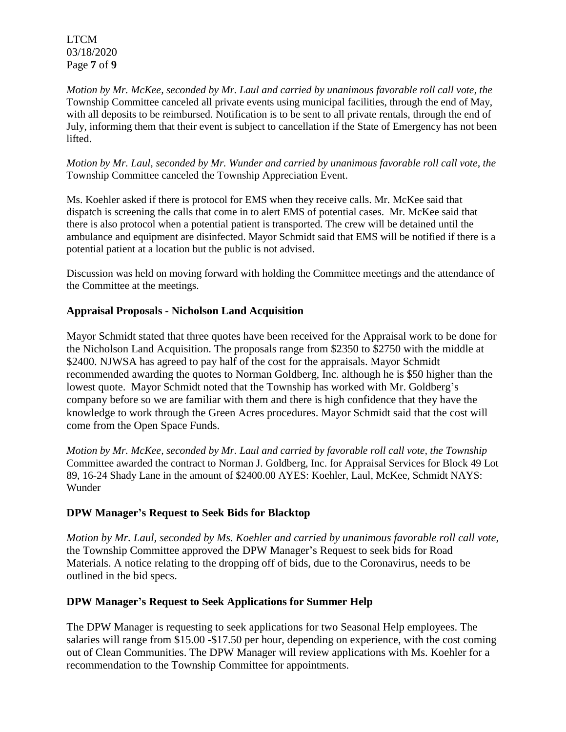LTCM 03/18/2020 Page **7** of **9**

*Motion by Mr. McKee, seconded by Mr. Laul and carried by unanimous favorable roll call vote, the* Township Committee canceled all private events using municipal facilities, through the end of May, with all deposits to be reimbursed. Notification is to be sent to all private rentals, through the end of July, informing them that their event is subject to cancellation if the State of Emergency has not been lifted.

*Motion by Mr. Laul, seconded by Mr. Wunder and carried by unanimous favorable roll call vote, the* Township Committee canceled the Township Appreciation Event.

Ms. Koehler asked if there is protocol for EMS when they receive calls. Mr. McKee said that dispatch is screening the calls that come in to alert EMS of potential cases. Mr. McKee said that there is also protocol when a potential patient is transported. The crew will be detained until the ambulance and equipment are disinfected. Mayor Schmidt said that EMS will be notified if there is a potential patient at a location but the public is not advised.

Discussion was held on moving forward with holding the Committee meetings and the attendance of the Committee at the meetings.

## **Appraisal Proposals - Nicholson Land Acquisition**

Mayor Schmidt stated that three quotes have been received for the Appraisal work to be done for the Nicholson Land Acquisition. The proposals range from \$2350 to \$2750 with the middle at \$2400. NJWSA has agreed to pay half of the cost for the appraisals. Mayor Schmidt recommended awarding the quotes to Norman Goldberg, Inc. although he is \$50 higher than the lowest quote. Mayor Schmidt noted that the Township has worked with Mr. Goldberg's company before so we are familiar with them and there is high confidence that they have the knowledge to work through the Green Acres procedures. Mayor Schmidt said that the cost will come from the Open Space Funds.

*Motion by Mr. McKee, seconded by Mr. Laul and carried by favorable roll call vote, the Township* Committee awarded the contract to Norman J. Goldberg, Inc. for Appraisal Services for Block 49 Lot 89, 16-24 Shady Lane in the amount of \$2400.00 AYES: Koehler, Laul, McKee, Schmidt NAYS: Wunder

## **DPW Manager's Request to Seek Bids for Blacktop**

*Motion by Mr. Laul, seconded by Ms. Koehler and carried by unanimous favorable roll call vote,* the Township Committee approved the DPW Manager's Request to seek bids for Road Materials. A notice relating to the dropping off of bids, due to the Coronavirus, needs to be outlined in the bid specs.

## **DPW Manager's Request to Seek Applications for Summer Help**

The DPW Manager is requesting to seek applications for two Seasonal Help employees. The salaries will range from \$15.00 -\$17.50 per hour, depending on experience, with the cost coming out of Clean Communities. The DPW Manager will review applications with Ms. Koehler for a recommendation to the Township Committee for appointments.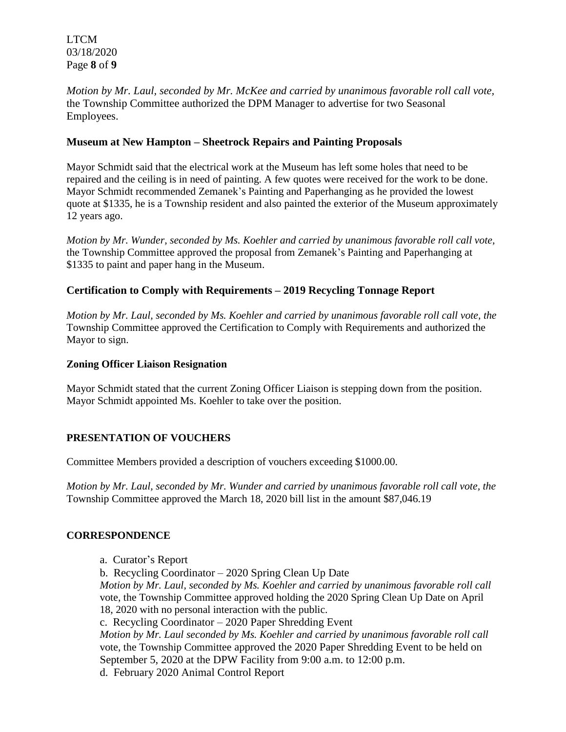LTCM 03/18/2020 Page **8** of **9**

*Motion by Mr. Laul, seconded by Mr. McKee and carried by unanimous favorable roll call vote,* the Township Committee authorized the DPM Manager to advertise for two Seasonal Employees.

## **Museum at New Hampton – Sheetrock Repairs and Painting Proposals**

Mayor Schmidt said that the electrical work at the Museum has left some holes that need to be repaired and the ceiling is in need of painting. A few quotes were received for the work to be done. Mayor Schmidt recommended Zemanek's Painting and Paperhanging as he provided the lowest quote at \$1335, he is a Township resident and also painted the exterior of the Museum approximately 12 years ago.

*Motion by Mr. Wunder, seconded by Ms. Koehler and carried by unanimous favorable roll call vote,* the Township Committee approved the proposal from Zemanek's Painting and Paperhanging at \$1335 to paint and paper hang in the Museum.

# **Certification to Comply with Requirements – 2019 Recycling Tonnage Report**

*Motion by Mr. Laul, seconded by Ms. Koehler and carried by unanimous favorable roll call vote, the* Township Committee approved the Certification to Comply with Requirements and authorized the Mayor to sign.

## **Zoning Officer Liaison Resignation**

Mayor Schmidt stated that the current Zoning Officer Liaison is stepping down from the position. Mayor Schmidt appointed Ms. Koehler to take over the position.

# **PRESENTATION OF VOUCHERS**

Committee Members provided a description of vouchers exceeding \$1000.00.

*Motion by Mr. Laul, seconded by Mr. Wunder and carried by unanimous favorable roll call vote, the* Township Committee approved the March 18, 2020 bill list in the amount \$87,046.19

## **CORRESPONDENCE**

- a. Curator's Report
- b. Recycling Coordinator 2020 Spring Clean Up Date

*Motion by Mr. Laul, seconded by Ms. Koehler and carried by unanimous favorable roll call*  vote, the Township Committee approved holding the 2020 Spring Clean Up Date on April 18, 2020 with no personal interaction with the public.

c. Recycling Coordinator – 2020 Paper Shredding Event

*Motion by Mr. Laul seconded by Ms. Koehler and carried by unanimous favorable roll call*  vote, the Township Committee approved the 2020 Paper Shredding Event to be held on September 5, 2020 at the DPW Facility from 9:00 a.m. to 12:00 p.m.

d. February 2020 Animal Control Report